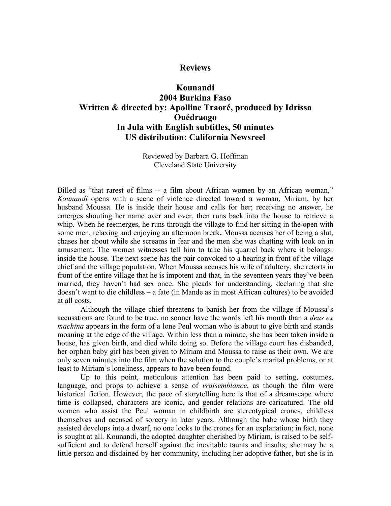## **Reviews**

## **Kounandi 2004 Burkina Faso Written & directed by: Apolline Traoré, produced by Idrissa Ouédraogo In Jula with English subtitles, 50 minutes US distribution: California Newsreel**

Reviewed by Barbara G. Hoffman Cleveland State University

Billed as "that rarest of films -- a film about African women by an African woman," *Kounandi* opens with a scene of violence directed toward a woman, Miriam, by her husband Moussa. He is inside their house and calls for her; receiving no answer, he emerges shouting her name over and over, then runs back into the house to retrieve a whip. When he reemerges, he runs through the village to find her sitting in the open with some men, relaxing and enjoying an afternoon break**.** Moussa accuses her of being a slut, chases her about while she screams in fear and the men she was chatting with look on in amusement**.** The women witnesses tell him to take his quarrel back where it belongs: inside the house. The next scene has the pair convoked to a hearing in front of the village chief and the village population. When Moussa accuses his wife of adultery, she retorts in front of the entire village that he is impotent and that, in the seventeen years they've been married, they haven't had sex once. She pleads for understanding, declaring that she doesn't want to die childless – a fate (in Mande as in most African cultures) to be avoided at all costs.

Although the village chief threatens to banish her from the village if Moussa's accusations are found to be true, no sooner have the words left his mouth than a *deus ex machina* appears in the form of a lone Peul woman who is about to give birth and stands moaning at the edge of the village. Within less than a minute, she has been taken inside a house, has given birth, and died while doing so. Before the village court has disbanded, her orphan baby girl has been given to Miriam and Moussa to raise as their own. We are only seven minutes into the film when the solution to the couple's marital problems, or at least to Miriam's loneliness, appears to have been found.

Up to this point, meticulous attention has been paid to setting, costumes, language, and props to achieve a sense of *vraisemblance*, as though the film were historical fiction. However, the pace of storytelling here is that of a dreamscape where time is collapsed, characters are iconic, and gender relations are caricatured. The old women who assist the Peul woman in childbirth are stereotypical crones, childless themselves and accused of sorcery in later years. Although the babe whose birth they assisted develops into a dwarf, no one looks to the crones for an explanation; in fact, none is sought at all. Kounandi, the adopted daughter cherished by Miriam, is raised to be selfsufficient and to defend herself against the inevitable taunts and insults; she may be a little person and disdained by her community, including her adoptive father, but she is in